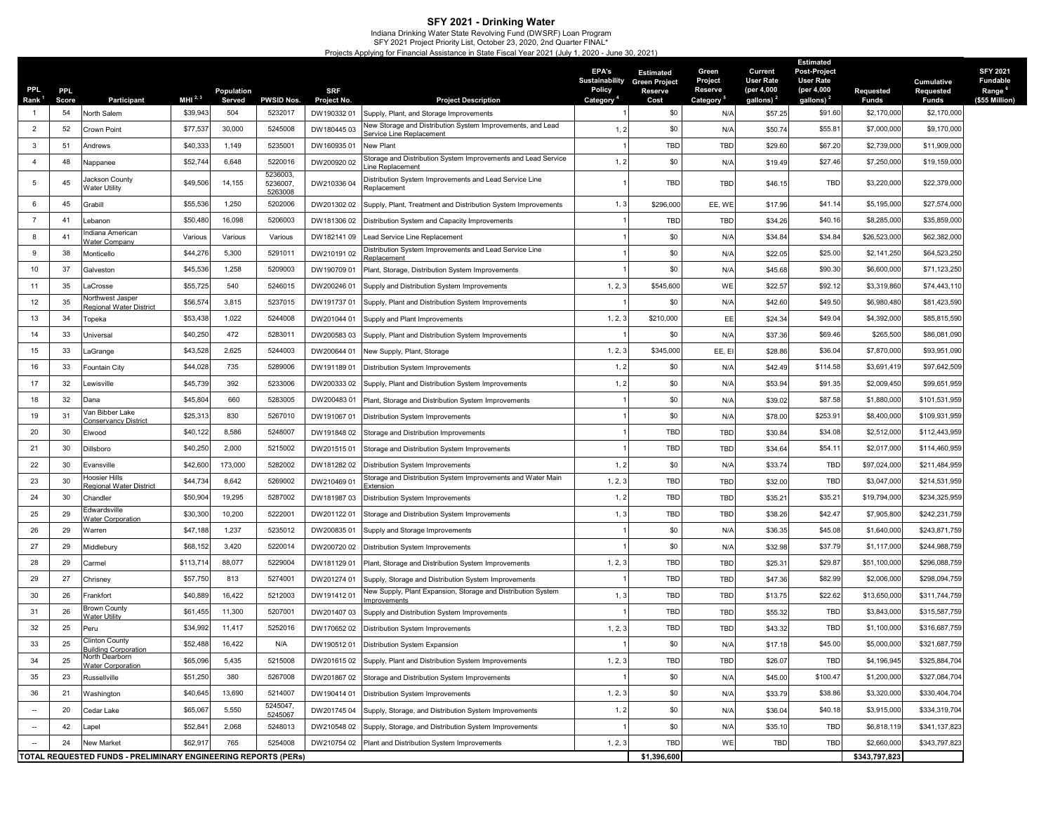SFY 2021 - Drinking Water<br>Indiana Drinking Water State Revolving Fund (DWSRF) Loan Program<br>SFY 2021 Project Priority List, October 23, 2020, 2nd Quarter FINAL\*<br>Projects Applying for Financial Assistance in State Fiscal Yea

| PPL.                     | <b>PPL</b>  |                                                                | MHI $^{2,3}$ | Population    | <b>PWSID Nos.</b>              | <b>SRF</b>                |                                                                                 | EPA's<br><b>Sustainability</b><br>Policy | <b>Estimated</b><br><b>Green Project</b><br>Reserve | Green<br>Project<br>Reserve | Current<br><b>User Rate</b><br>(per 4,000 | Estimated<br><b>Post-Project</b><br><b>User Rate</b><br>(per 4,000 | Requested            | Cumulative<br>Requested | <b>SFY 2021</b><br><b>Fundable</b><br>Range <sup>6</sup><br>(\$55 Million) |
|--------------------------|-------------|----------------------------------------------------------------|--------------|---------------|--------------------------------|---------------------------|---------------------------------------------------------------------------------|------------------------------------------|-----------------------------------------------------|-----------------------------|-------------------------------------------|--------------------------------------------------------------------|----------------------|-------------------------|----------------------------------------------------------------------------|
| Rank <sup>1</sup>        | Score<br>54 | <b>Participant</b><br>North Salem                              | \$39,943     | Served<br>504 | 5232017                        | Project No.<br>DW19033201 | <b>Project Description</b><br>Supply, Plant, and Storage Improvements           | Category                                 | Cost<br>\$0                                         | Category<br>N/A             | gallons) <sup>2</sup><br>\$57.25          | gallons) <sup>2</sup><br>\$91.60                                   | Funds<br>\$2,170,000 | Funds<br>\$2,170,000    |                                                                            |
| $\overline{2}$           | 52          | Crown Point                                                    | \$77,537     | 30,000        | 5245008                        | DW18044503                | lew Storage and Distribution System Improvements, and Lead                      | 1, 2                                     | \$0                                                 | N/A                         | \$50.74                                   | \$55.81                                                            | \$7,000,000          | \$9,170,000             |                                                                            |
| 3                        | 51          | Andrews                                                        | \$40,333     | 1,149         | 5235001                        | DW16093501                | Service Line Replacement<br>New Plant                                           |                                          | <b>TBD</b>                                          | <b>TBD</b>                  | \$29.60                                   | \$67.20                                                            | \$2,739,000          | \$11,909,000            |                                                                            |
| $\overline{4}$           | 48          | Nappanee                                                       | \$52,74      | 6,648         | 5220016                        | DW200920 02               | Storage and Distribution System Improvements and Lead Service<br>ne Replacement | 1, 2                                     | \$0                                                 | N/A                         | \$19.49                                   | \$27.46                                                            | \$7,250,000          | \$19,159,000            |                                                                            |
| 5                        | 45          | Jackson County<br><b>Water Utility</b>                         | \$49,506     | 14,155        | 5236003.<br>5236007<br>5263008 | DW210336 04               | Distribution System Improvements and Lead Service Line<br>Replacement           |                                          | TBD                                                 | TBD                         | \$46.15                                   | TBD                                                                | \$3,220,000          | \$22,379,000            |                                                                            |
| 6                        | 45          | Grabill                                                        | \$55,536     | 1,250         | 5202006                        | DW20130202                | Supply, Plant, Treatment and Distribution System Improvements                   | 1, 3                                     | \$296,000                                           | EE, WE                      | \$17.96                                   | \$41.14                                                            | \$5,195,000          | \$27,574,000            |                                                                            |
| $\overline{7}$           | 41          | Lebanon                                                        | \$50,480     | 16,098        | 5206003                        | DW18130602                | Distribution System and Capacity Improvements                                   |                                          | <b>TBD</b>                                          | <b>TBD</b>                  | \$34.26                                   | \$40.16                                                            | \$8,285,000          | \$35,859,000            |                                                                            |
| 8                        | 41          | Indiana American<br>Water Company                              | Various      | Various       | Various                        | DW182141 09               | Lead Service Line Replacement                                                   |                                          | \$0                                                 | N/A                         | \$34.84                                   | \$34.84                                                            | \$26,523,000         | \$62,382,000            |                                                                            |
| 9                        | 38          | Monticello                                                     | \$44,27      | 5,300         | 5291011                        | DW210191 02               | 0istribution System Improvements and Lead Service Line<br>eplacement            |                                          | \$0                                                 | N/A                         | \$22.05                                   | \$25.00                                                            | \$2,141,250          | \$64,523,250            |                                                                            |
| 10                       | 37          | Galveston                                                      | \$45,536     | 1,258         | 5209003                        | DW19070901                | Plant, Storage, Distribution System Improvements                                |                                          | \$0                                                 | N/A                         | \$45.68                                   | \$90.30                                                            | \$6,600,000          | \$71,123,250            |                                                                            |
| 11                       | 35          | LaCrosse                                                       | \$55,725     | 540           | 5246015                        | DW200246 01               | Supply and Distribution System Improvements                                     | 1, 2,                                    | \$545,600                                           | WE                          | \$22.57                                   | \$92.12                                                            | \$3,319,860          | \$74,443,110            |                                                                            |
| 12                       | 35          | Northwest Jasper<br>Regional Water District                    | \$56,57      | 3,815         | 5237015                        | DW19173701                | Supply, Plant and Distribution System Improvements                              |                                          | \$0                                                 | N/A                         | \$42.60                                   | \$49.50                                                            | \$6,980,480          | \$81,423,590            |                                                                            |
| 13                       | 34          | Topeka                                                         | \$53,438     | 1,022         | 5244008                        | DW201044 01               | Supply and Plant Improvements                                                   | 1, 2,                                    | \$210,000                                           | EE                          | \$24.34                                   | \$49.04                                                            | \$4,392,000          | \$85,815,590            |                                                                            |
| 14                       | 33          | Universal                                                      | \$40,250     | 472           | 5283011                        | DW20058303                | Supply, Plant and Distribution System Improvements                              |                                          | \$0                                                 | N/A                         | \$37.36                                   | \$69.46                                                            | \$265,500            | \$86,081,090            |                                                                            |
| 15                       | 33          | _aGrange                                                       | \$43,528     | 2,625         | 5244003                        | DW200644 01               | New Supply, Plant, Storage                                                      | 1, 2, 3                                  | \$345,000                                           | EE, EI                      | \$28.86                                   | \$36.04                                                            | \$7,870,000          | \$93,951,090            |                                                                            |
| 16                       | 33          | <b>Fountain City</b>                                           | \$44,028     | 735           | 5289006                        | DW19118901                | Distribution System Improvements                                                | 1, 2                                     | \$0                                                 | N/A                         | \$42.49                                   | \$114.58                                                           | \$3,691,419          | \$97,642,509            |                                                                            |
| 17                       | 32          | Lewisville                                                     | \$45,739     | 392           | 5233006                        | DW200333 02               | Supply, Plant and Distribution System Improvements                              | 1, 2                                     | \$0                                                 | N/A                         | \$53.94                                   | \$91.35                                                            | \$2,009,450          | \$99,651,959            |                                                                            |
| 18                       | 32          | Dana                                                           | \$45,804     | 660           | 5283005                        | DW20048301                | Plant, Storage and Distribution System Improvements                             |                                          | \$0                                                 | N/A                         | \$39.02                                   | \$87.58                                                            | \$1,880,000          | \$101,531,959           |                                                                            |
| 19                       | 31          | Van Bibber Lake<br><b>Conservancy District</b>                 | \$25,31      | 830           | 5267010                        | DW19106701                | Distribution System Improvements                                                |                                          | \$0                                                 | N/A                         | \$78.00                                   | \$253.91                                                           | \$8,400,000          | \$109,931,959           |                                                                            |
| 20                       | 30          | Elwood                                                         | \$40,122     | 8,586         | 5248007                        | DW19184802                | Storage and Distribution Improvements                                           |                                          | <b>TBD</b>                                          | TBD                         | \$30.84                                   | \$34.08                                                            | \$2,512,000          | \$112,443,959           |                                                                            |
| 21                       | 30          | Dillsboro                                                      | \$40,250     | 2,000         | 5215002                        | DW20151501                | Storage and Distribution System Improvements                                    |                                          | TBD                                                 | <b>TBD</b>                  | \$34.64                                   | \$54.1'                                                            | \$2,017,000          | \$114,460,959           |                                                                            |
| 22                       | 30          | Evansville                                                     | \$42,600     | 173,000       | 5282002                        | DW18128202                | Distribution System Improvements                                                | 1, 2                                     | \$0                                                 | N/A                         | \$33.74                                   | <b>TBD</b>                                                         | \$97,024,000         | \$211,484,959           |                                                                            |
| 23                       | 30          | Hoosier Hills<br>Regional Water District                       | \$44,734     | 8,642         | 5269002                        | DW21046901                | Storage and Distribution System Improvements and Water Main<br><b>Extension</b> | 1, 2, 3                                  | <b>TBC</b>                                          | TBD                         | \$32.00                                   | <b>TBD</b>                                                         | \$3,047,000          | \$214,531,959           |                                                                            |
| 24                       | 30          | Chandler                                                       | \$50,904     | 19,295        | 5287002                        | DW18198703                | Distribution System Improvements                                                | 1, 2                                     | TBD                                                 | TBD                         | \$35.21                                   | \$35.21                                                            | \$19,794,000         | \$234,325,959           |                                                                            |
| 25                       | 29          | Edwardsville<br><b>Water Corporation</b>                       | \$30,300     | 10,200        | 5222001                        | DW20112201                | Storage and Distribution System Improvements                                    | 1, 3                                     | TBD                                                 | TBD                         | \$38.26                                   | \$42.47                                                            | \$7,905,800          | \$242,231,759           |                                                                            |
| 26                       | 29          | Warren                                                         | \$47,188     | 1,237         | 5235012                        | DW20083501                | Supply and Storage Improvements                                                 |                                          | \$0                                                 | N/A                         | \$36.35                                   | \$45.08                                                            | \$1,640,000          | \$243,871,759           |                                                                            |
| 27                       | 29          | Middlebury                                                     | \$68,152     | 3,420         | 5220014                        | DW200720 02               | Distribution System Improvements                                                |                                          | \$0                                                 | N/A                         | \$32.98                                   | \$37.79                                                            | \$1,117,000          | \$244,988,759           |                                                                            |
| 28                       | 29          | Carmel                                                         | \$113,71     | 88,077        | 5229004                        | DW18112901                | Plant, Storage and Distribution System Improvements                             | 1, 2,                                    | TBD                                                 | TBD                         | \$25.31                                   | \$29.87                                                            | \$51,100,000         | \$296,088,759           |                                                                            |
| 29                       | 27          | Chrisney                                                       | \$57,750     | 813           | 5274001                        | DW201274 01               | Supply, Storage and Distribution System Improvements                            |                                          | TBD                                                 | <b>TBD</b>                  | \$47.36                                   | \$82.99                                                            | \$2,006,000          | \$298,094,759           |                                                                            |
| 30                       | 26          | Frankfort                                                      | \$40,889     | 16,422        | 5212003                        | DW19141201                | lew Supply, Plant Expansion, Storage and Distribution System<br>าprovements     | 1, 3                                     | <b>TBC</b>                                          | TBD                         | \$13.75                                   | \$22.62                                                            | \$13,650,000         | \$311,744,759           |                                                                            |
| 31                       | 26          | Brown County<br>Vater Utilitv                                  | \$61,455     | 11,300        | 5207001                        | DW201407 03               | Supply and Distribution System Improvements                                     |                                          | <b>TBD</b>                                          | <b>TBD</b>                  | \$55.32                                   | <b>TBD</b>                                                         | \$3,843,000          | \$315,587,759           |                                                                            |
| 32                       | 25          | Peru                                                           | \$34,992     | 11,417        | 5252016                        | DW17065202                | Distribution System Improvements                                                | 1, 2,                                    | <b>TBD</b>                                          | <b>TBD</b>                  | \$43.32                                   | <b>TBD</b>                                                         | \$1,100,000          | \$316,687,759           |                                                                            |
| 33                       | 25          | Clinton County<br><b>Building Corporation</b>                  | \$52,488     | 16,422        | N/A                            | DW19051201                | Distribution System Expansion                                                   |                                          | \$0                                                 | N/A                         | \$17.18                                   | \$45.00                                                            | \$5,000,000          | \$321,687,759           |                                                                            |
| 34                       | 25          | vortn Dearborn<br>Water Corporation                            | \$65,096     | 5,435         | 5215008                        |                           | DW201615 02 Supply, Plant and Distribution System Improvements                  | 1, 2, 3                                  | TBD                                                 | <b>TBD</b>                  | \$26.07                                   | TBD                                                                | \$4,196,945          | \$325,884,704           |                                                                            |
| 35                       | 23          | Russellville                                                   | \$51,250     | 380           | 5267008                        | DW201867 02               | Storage and Distribution System Improvements                                    |                                          | \$0                                                 | N/A                         | \$45.00                                   | \$100.47                                                           | \$1,200,000          | \$327,084,704           |                                                                            |
| 36                       | 21          | Washington                                                     | \$40,645     | 13,690        | 5214007                        | DW19041401                | Distribution System Improvements                                                | 1, 2, 3                                  | \$0                                                 | N/A                         | \$33.79                                   | \$38.86                                                            | \$3,320,000          | \$330,404,704           |                                                                            |
| $\overline{\phantom{a}}$ | 20          | Cedar Lake                                                     | \$65,067     | 5,550         | 5245047,<br>5245067            |                           | DW201745 04 Supply, Storage, and Distribution System Improvements               | 1, 2                                     | \$0                                                 | N/A                         | \$36.04                                   | \$40.18                                                            | \$3,915,000          | \$334,319,704           |                                                                            |
| $\overline{\phantom{a}}$ | 42          | Lapel                                                          | \$52,841     | 2,068         | 5248013                        | DW210548 02               | Supply, Storage, and Distribution System Improvements                           |                                          | \$0                                                 | N/A                         | \$35.10                                   | TBD                                                                | \$6,818,119          | \$341,137,823           |                                                                            |
|                          | 24          | New Market                                                     | \$62,917     | 765           | 5254008                        |                           | DW210754 02 Plant and Distribution System Improvements                          | 1, 2, 3                                  | TBD                                                 | WE                          | TBD                                       | TBD                                                                | \$2,660,000          | \$343,797,823           |                                                                            |
|                          |             | TOTAL REQUESTED FUNDS - PRELIMINARY ENGINEERING REPORTS (PERS) |              |               |                                |                           |                                                                                 |                                          | \$1,396,600                                         |                             |                                           |                                                                    | \$343,797,823        |                         |                                                                            |